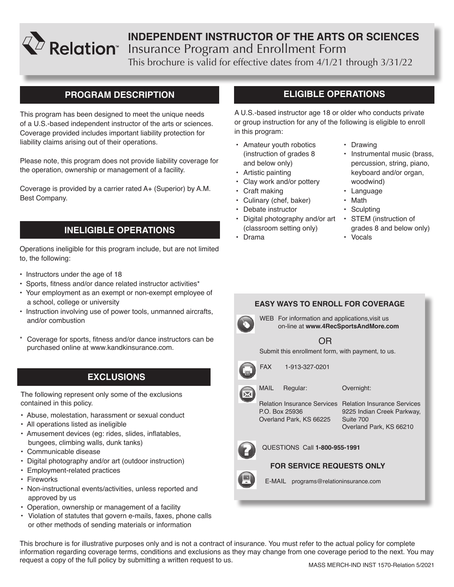

# **INDEPENDENT INSTRUCTOR OF THE ARTS OR SCIENCES** Insurance Program and Enrollment Form

This brochure is valid for effective dates from 4/1/21 through 3/31/22

# **PROGRAM DESCRIPTION**

This program has been designed to meet the unique needs of a U.S.-based independent instructor of the arts or sciences. Coverage provided includes important liability protection for liability claims arising out of their operations.

Please note, this program does not provide liability coverage for the operation, ownership or management of a facility.

Coverage is provided by a carrier rated A+ (Superior) by A.M. Best Company.

# **INELIGIBLE OPERATIONS**

Operations ineligible for this program include, but are not limited to, the following:

- Instructors under the age of 18
- Sports, fitness and/or dance related instructor activities\*
- Your employment as an exempt or non-exempt employee of a school, college or university
- Instruction involving use of power tools, unmanned aircrafts, and/or combustion
- Coverage for sports, fitness and/or dance instructors can be purchased online at www.kandkinsurance.com.

# **EXCLUSIONS**

The following represent only some of the exclusions contained in this policy.

- Abuse, molestation, harassment or sexual conduct
- All operations listed as ineligible
- Amusement devices (eg: rides, slides, inflatables, bungees, climbing walls, dunk tanks)
- Communicable disease
- Digital photography and/or art (outdoor instruction)
- Employment-related practices
- Fireworks
- Non-instructional events/activities, unless reported and approved by us
- Operation, ownership or management of a facility
- Violation of statutes that govern e-mails, faxes, phone calls or other methods of sending materials or information

# **ELIGIBLE OPERATIONS**

A U.S.-based instructor age 18 or older who conducts private or group instruction for any of the following is eligible to enroll in this program:

- Amateur youth robotics (instruction of grades 8 and below only)
- Artistic painting
- Clay work and/or pottery
- Craft making
- Culinary (chef, baker)
- Debate instructor
- Digital photography and/or art STEM (instruction of (classroom setting only)
- Drama

### • Drawing

- Instrumental music (brass, percussion, string, piano, keyboard and/or organ, woodwind)
- Language
- Math
- Sculpting
- grades 8 and below only)
- Vocals

# **EASY WAYS TO ENROLL FOR COVERAGE**



WEB For information and applications, visit us on-line at **www.4RecSportsAndMore.com**

# OR

Submit this enrollment form, with payment, to us.



FAX 1-913-327-0201

MAIL Regular:

Overnight:

P.O. Box 25936 Overland Park, KS 66225

Relation Insurance Services Relation Insurance Services 9225 Indian Creek Parkway, Suite 700 Overland Park, KS 66210



QUESTIONS Call **1-800-955-1991**

### **FOR SERVICE REQUESTS ONLY**



E-MAIL programs@relationinsurance.com

This brochure is for illustrative purposes only and is not a contract of insurance. You must refer to the actual policy for complete information regarding coverage terms, conditions and exclusions as they may change from one coverage period to the next. You may request a copy of the full policy by submitting a written request to us.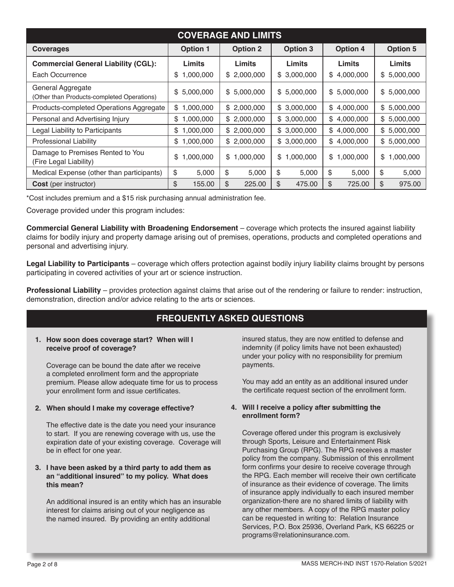| <b>COVERAGE AND LIMITS</b>                                      |                 |                 |                 |                 |                 |
|-----------------------------------------------------------------|-----------------|-----------------|-----------------|-----------------|-----------------|
| <b>Coverages</b>                                                | <b>Option 1</b> | <b>Option 2</b> | <b>Option 3</b> | <b>Option 4</b> | <b>Option 5</b> |
| <b>Commercial General Liability (CGL):</b>                      | Limits          | <b>Limits</b>   | Limits          | Limits          | Limits          |
| Each Occurrence                                                 | 1,000,000<br>\$ | \$2,000,000     | \$3,000,000     | \$4,000,000     | \$5,000,000     |
| General Aggregate<br>(Other than Products-completed Operations) | \$5,000,000     | \$5,000,000     | 5,000,000<br>\$ | \$5,000,000     | \$5,000,000     |
| Products-completed Operations Aggregate                         | 1,000,000<br>\$ | \$2,000,000     | \$3,000,000     | \$4,000,000     | \$5,000,000     |
| Personal and Advertising Injury                                 | 1,000,000<br>\$ | \$2,000,000     | \$3,000,000     | \$4,000,000     | \$5,000,000     |
| Legal Liability to Participants                                 | 1,000,000<br>\$ | \$2,000,000     | \$3,000,000     | \$4,000,000     | \$5,000,000     |
| <b>Professional Liability</b>                                   | \$1,000,000     | \$2,000,000     | \$3,000,000     | \$4,000,000     | \$5,000,000     |
| Damage to Premises Rented to You<br>(Fire Legal Liability)      | 1,000,000<br>S  | 1,000,000<br>\$ | \$<br>1,000,000 | 1,000,000<br>\$ | \$<br>,000,000  |
| Medical Expense (other than participants)                       | \$<br>5,000     | \$<br>5,000     | \$<br>5,000     | \$<br>5,000     | \$<br>5,000     |
| <b>Cost</b> (per instructor)                                    | 155.00<br>\$    | \$<br>225.00    | \$<br>475.00    | \$<br>725.00    | \$<br>975.00    |

\*Cost includes premium and a \$15 risk purchasing annual administration fee.

Coverage provided under this program includes:

**Commercial General Liability with Broadening Endorsement** – coverage which protects the insured against liability claims for bodily injury and property damage arising out of premises, operations, products and completed operations and personal and advertising injury.

**Legal Liability to Participants** – coverage which offers protection against bodily injury liability claims brought by persons participating in covered activities of your art or science instruction.

**Professional Liability** – provides protection against claims that arise out of the rendering or failure to render: instruction, demonstration, direction and/or advice relating to the arts or sciences.

# **FREQUENTLY ASKED QUESTIONS**

### **1. How soon does coverage start? When will I receive proof of coverage?**

Coverage can be bound the date after we receive a completed enrollment form and the appropriate premium. Please allow adequate time for us to process your enrollment form and issue certificates.

### **2. When should I make my coverage effective?**

The effective date is the date you need your insurance to start. If you are renewing coverage with us, use the expiration date of your existing coverage. Coverage will be in effect for one year.

### **3. I have been asked by a third party to add them as an "additional insured" to my policy. What does this mean?**

An additional insured is an entity which has an insurable interest for claims arising out of your negligence as the named insured. By providing an entity additional

insured status, they are now entitled to defense and indemnity (if policy limits have not been exhausted) under your policy with no responsibility for premium payments.

You may add an entity as an additional insured under the certificate request section of the enrollment form.

### **4. Will I receive a policy after submitting the enrollment form?**

Coverage offered under this program is exclusively through Sports, Leisure and Entertainment Risk Purchasing Group (RPG). The RPG receives a master policy from the company. Submission of this enrollment form confirms your desire to receive coverage through the RPG. Each member will receive their own certificate of insurance as their evidence of coverage. The limits of insurance apply individually to each insured member organization-there are no shared limits of liability with any other members. A copy of the RPG master policy can be requested in writing to: Relation Insurance Services, P.O. Box 25936, Overland Park, KS 66225 or programs@relationinsurance.com.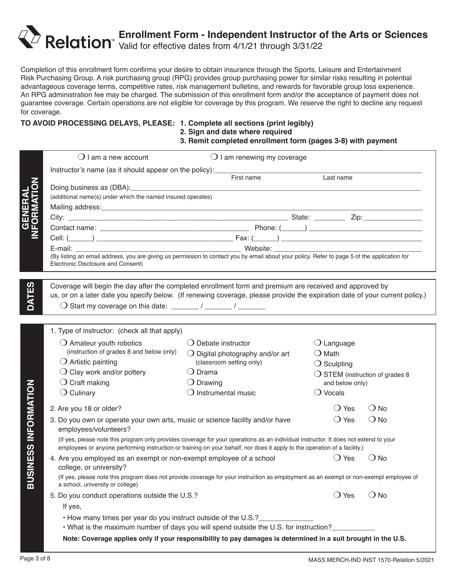# **Enrollment Form - Independent Instructor of the Arts or Sciences** Valid for effective dates from 4/1/21 through 3/31/22

Completion of this enrollment form confirms your desire to obtain insurance through the Sports, Leisure and Entertainment Risk Purchasing Group. A risk purchasing group (RPG) provides group purchasing power for similar risks resulting in potential advantageous coverage terms, competitive rates, risk management bulletins, and rewards for favorable group loss experience. An RPG administration fee may be charged. The submission of this enrollment form and/or the acceptance of payment does not guarantee coverage. Certain operations are not eligible for coverage by this program. We reserve the right to decline any request for coverage.

### **TO AVOID PROCESSING DELAYS, PLEASE: 1. Complete all sections (print legibly)**

# **2. Sign and date where required 3. Remit completed enrollment form (pages 3-8) with payment**

|                              | $\bigcirc$ I am a new account                                                                                                                                                                                                                                     | $\bigcirc$ I am renewing my coverage                                                                          |                                          |               |
|------------------------------|-------------------------------------------------------------------------------------------------------------------------------------------------------------------------------------------------------------------------------------------------------------------|---------------------------------------------------------------------------------------------------------------|------------------------------------------|---------------|
|                              | Instructor's name (as it should appear on the policy): ____________                                                                                                                                                                                               |                                                                                                               |                                          |               |
|                              |                                                                                                                                                                                                                                                                   | First name                                                                                                    | Last name                                |               |
|                              | Doing business as (DBA): Doing business as (DBA):<br>(additional name(s) under which the named insured operates)                                                                                                                                                  |                                                                                                               |                                          |               |
|                              |                                                                                                                                                                                                                                                                   |                                                                                                               |                                          |               |
| <b>GENERAL<br/>IFORMATIO</b> |                                                                                                                                                                                                                                                                   |                                                                                                               |                                          |               |
|                              |                                                                                                                                                                                                                                                                   |                                                                                                               |                                          |               |
|                              |                                                                                                                                                                                                                                                                   |                                                                                                               |                                          |               |
|                              |                                                                                                                                                                                                                                                                   |                                                                                                               |                                          |               |
|                              | (By listing an email address, you are giving us permission to contact you by email about your policy. Refer to page 5 of the application for<br>Electronic Disclosure and Consent)                                                                                |                                                                                                               |                                          |               |
|                              |                                                                                                                                                                                                                                                                   |                                                                                                               |                                          |               |
|                              | Coverage will begin the day after the completed enrollment form and premium are received and approved by                                                                                                                                                          |                                                                                                               |                                          |               |
| DATES                        | us, or on a later date you specify below. (If renewing coverage, please provide the expiration date of your current policy.)                                                                                                                                      |                                                                                                               |                                          |               |
|                              |                                                                                                                                                                                                                                                                   |                                                                                                               |                                          |               |
|                              |                                                                                                                                                                                                                                                                   |                                                                                                               |                                          |               |
|                              | 1. Type of instructor: (check all that apply)                                                                                                                                                                                                                     |                                                                                                               |                                          |               |
|                              | $\bigcirc$ Amateur youth robotics                                                                                                                                                                                                                                 | $\bigcirc$ Debate instructor                                                                                  | $\bigcirc$ Language                      |               |
|                              | (instruction of grades 8 and below only)                                                                                                                                                                                                                          | $\bigcirc$ Digital photography and/or art                                                                     | $\bigcirc$ Math                          |               |
|                              | $\bigcirc$ Artistic painting                                                                                                                                                                                                                                      | (classroom setting only)                                                                                      | $\bigcirc$ Sculpting                     |               |
|                              | $\bigcirc$ Clay work and/or pottery                                                                                                                                                                                                                               | $\bigcirc$ Drama                                                                                              | $\bigcirc$ STEM (instruction of grades 8 |               |
|                              | $\bigcirc$ Craft making                                                                                                                                                                                                                                           | $\bigcirc$ Drawing                                                                                            | and below only)                          |               |
|                              | $\bigcirc$ Culinary                                                                                                                                                                                                                                               | $\bigcirc$ Instrumental music                                                                                 | $\bigcirc$ Vocals                        |               |
|                              | 2. Are you 18 or older?                                                                                                                                                                                                                                           |                                                                                                               | $\bigcirc$ Yes                           | $\bigcirc$ No |
|                              | 3. Do you own or operate your own arts, music or science facility and/or have                                                                                                                                                                                     |                                                                                                               | $\bigcirc$ Yes                           | $\bigcirc$ No |
|                              | employees/volunteers?                                                                                                                                                                                                                                             |                                                                                                               |                                          |               |
| <b>SINESS INFORMATION</b>    | (If yes, please note this program only provides coverage for your operations as an individual instructor. It does not extend to your<br>employees or anyone performing instruction or training on your behalf, nor does it apply to the operation of a facility.) |                                                                                                               |                                          |               |
|                              | 4. Are you employed as an exempt or non-exempt employee of a school                                                                                                                                                                                               |                                                                                                               | () Yes                                   | $\bigcirc$ No |
|                              | college, or university?                                                                                                                                                                                                                                           |                                                                                                               |                                          |               |
| $\vec{p}$                    | (If yes, please note this program does not provide coverage for your instruction as employment as an exempt or non-exempt employee of<br>a school, university or college)                                                                                         |                                                                                                               |                                          |               |
|                              | 5. Do you conduct operations outside the U.S.?                                                                                                                                                                                                                    |                                                                                                               | $\bigcirc$ Yes                           | $\bigcirc$ No |
|                              | If yes,                                                                                                                                                                                                                                                           |                                                                                                               |                                          |               |
|                              | . How many times per year do you instruct outside of the U.S.?                                                                                                                                                                                                    |                                                                                                               |                                          |               |
|                              |                                                                                                                                                                                                                                                                   | . What is the maximum number of days you will spend outside the U.S. for instruction?                         |                                          |               |
|                              |                                                                                                                                                                                                                                                                   | Note: Coverage applies only if your responsibility to pay damages is determined in a suit brought in the U.S. |                                          |               |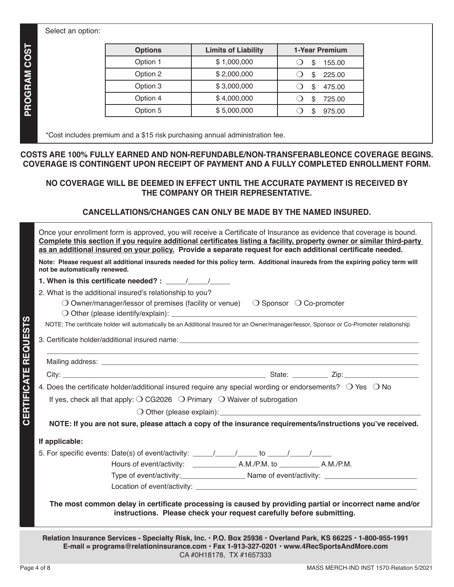### Select an option:

| <b>Options</b> | <b>Limits of Liability</b> | 1-Year Premium |
|----------------|----------------------------|----------------|
| Option 1       | \$1,000,000                | 155.00<br>S    |
| Option 2       | \$2,000,000                | 225.00<br>\$   |
| Option 3       | \$3,000,000                | 475.00<br>S    |
| Option 4       | \$4,000,000                | 725.00<br>S    |
| Option 5       | \$5,000,000                | 975.00<br>ß.   |

\*Cost includes premium and a \$15 risk purchasing annual administration fee.

### **COSTS ARE 100% FULLY EARNED AND NON-REFUNDABLE/NON-TRANSFERABLEONCE COVERAGE BEGINS. COVERAGE IS CONTINGENT UPON RECEIPT OF PAYMENT AND A FULLY COMPLETED ENROLLMENT FORM.**

### **NO COVERAGE WILL BE DEEMED IN EFFECT UNTIL THE ACCURATE PAYMENT IS RECEIVED BY THE COMPANY OR THEIR REPRESENTATIVE.**

### **CANCELLATIONS/CHANGES CAN ONLY BE MADE BY THE NAMED INSURED.**

| Once your enrollment form is approved, you will receive a Certificate of Insurance as evidence that coverage is bound.<br>Complete this section if you require additional certificates listing a facility, property owner or similar third-party<br>as an additional insured on your policy. Provide a separate request for each additional certificate needed. |  |  |
|-----------------------------------------------------------------------------------------------------------------------------------------------------------------------------------------------------------------------------------------------------------------------------------------------------------------------------------------------------------------|--|--|
| Note: Please request all additional insureds needed for this policy term. Additional insureds from the expiring policy term will<br>not be automatically renewed.                                                                                                                                                                                               |  |  |
| 1. When is this certificate needed? : / /                                                                                                                                                                                                                                                                                                                       |  |  |
| 2. What is the additional insured's relationship to you?<br>$\bigcirc$ Owner/manager/lessor of premises (facility or venue) $\bigcirc$ Sponsor $\bigcirc$ Co-promoter<br><b>REQUESTS</b><br>NOTE: The certificate holder will automatically be an Additional Insured for an Owner/manager/lessor, Sponsor or Co-Promoter relationship                           |  |  |
|                                                                                                                                                                                                                                                                                                                                                                 |  |  |
|                                                                                                                                                                                                                                                                                                                                                                 |  |  |
|                                                                                                                                                                                                                                                                                                                                                                 |  |  |
| 4. Does the certificate holder/additional insured require any special wording or endorsements? O Yes O No                                                                                                                                                                                                                                                       |  |  |
| If yes, check all that apply: $\bigcirc$ CG2026 $\bigcirc$ Primary $\bigcirc$ Waiver of subrogation                                                                                                                                                                                                                                                             |  |  |
|                                                                                                                                                                                                                                                                                                                                                                 |  |  |
| NOTE: If you are not sure, please attach a copy of the insurance requirements/instructions you've received.                                                                                                                                                                                                                                                     |  |  |
| If applicable:                                                                                                                                                                                                                                                                                                                                                  |  |  |
|                                                                                                                                                                                                                                                                                                                                                                 |  |  |
|                                                                                                                                                                                                                                                                                                                                                                 |  |  |
|                                                                                                                                                                                                                                                                                                                                                                 |  |  |
| Location of event/activity:                                                                                                                                                                                                                                                                                                                                     |  |  |
| The most common delay in certificate processing is caused by providing partial or incorrect name and/or<br>instructions. Please check your request carefully before submitting.                                                                                                                                                                                 |  |  |
| Relation Insurance Services - Specialty Risk, Inc. · P.O. Box 25936 · Overland Park, KS 66225 · 1-800-955-1991<br>E-mail = programs@relationinsurance.com · Fax 1-913-327-0201 · www.4RecSportsAndMore.com                                                                                                                                                      |  |  |

CA #0H18178, TX #1657333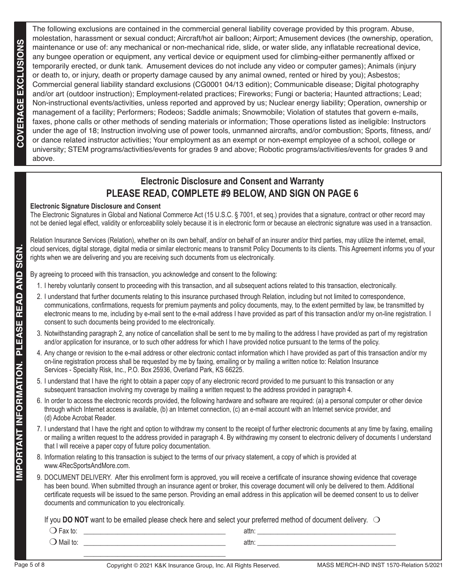The following exclusions are contained in the commercial general liability coverage provided by this program. Abuse, molestation, harassment or sexual conduct; Aircraft/hot air balloon; Airport; Amusement devices (the ownership, operation, maintenance or use of: any mechanical or non-mechanical ride, slide, or water slide, any inflatable recreational device, any bungee operation or equipment, any vertical device or equipment used for climbing-either permanently affixed or temporarily erected, or dunk tank. Amusement devices do not include any video or computer games); Animals (injury or death to, or injury, death or property damage caused by any animal owned, rented or hired by you); Asbestos; Commercial general liability standard exclusions (CG0001 04/13 edition); Communicable disease; Digital photography and/or art (outdoor instruction); Employment-related practices; Fireworks; Fungi or bacteria; Haunted attractions; Lead; Non-instructional events/activities, unless reported and approved by us; Nuclear energy liability; Operation, ownership or management of a facility; Performers; Rodeos; Saddle animals; Snowmobile; Violation of statutes that govern e-mails, faxes, phone calls or other methods of sending materials or information; Those operations listed as ineligible: Instructors under the age of 18; Instruction involving use of power tools, unmanned aircrafts, and/or combustion; Sports, fitness, and/ or dance related instructor activities; Your employment as an exempt or non-exempt employee of a school, college or university; STEM programs/activities/events for grades 9 and above; Robotic programs/activities/events for grades 9 and above.

# **Electronic Disclosure and Consent and Warranty PLEASE READ, COMPLETE #9 BELOW, AND SIGN ON PAGE 6**

### **Electronic Signature Disclosure and Consent**

The Electronic Signatures in Global and National Commerce Act (15 U.S.C. § 7001, et seq.) provides that a signature, contract or other record may not be denied legal effect, validity or enforceability solely because it is in electronic form or because an electronic signature was used in a transaction.

Relation Insurance Services (Relation), whether on its own behalf, and/or on behalf of an insurer and/or third parties, may utilize the internet, email, cloud services, digital storage, digital media or similar electronic means to transmit Policy Documents to its clients. This Agreement informs you of your rights when we are delivering and you are receiving such documents from us electronically.

By agreeing to proceed with this transaction, you acknowledge and consent to the following:

- 1. I hereby voluntarily consent to proceeding with this transaction, and all subsequent actions related to this transaction, electronically.
- 2. I understand that further documents relating to this insurance purchased through Relation, including but not limited to correspondence, communications, confirmations, requests for premium payments and policy documents, may, to the extent permitted by law, be transmitted by electronic means to me, including by e-mail sent to the e-mail address I have provided as part of this transaction and/or my on-line registration. I consent to such documents being provided to me electronically.
- 3. Notwithstanding paragraph 2, any notice of cancellation shall be sent to me by mailing to the address I have provided as part of my registration and/or application for insurance, or to such other address for which I have provided notice pursuant to the terms of the policy.
- 4. Any change or revision to the e-mail address or other electronic contact information which I have provided as part of this transaction and/or my on-line registration process shall be requested by me by faxing, emailing or by mailing a written notice to: Relation Insurance Services - Specialty Risk, Inc., P.O. Box 25936, Overland Park, KS 66225.
- 5. I understand that I have the right to obtain a paper copy of any electronic record provided to me pursuant to this transaction or any subsequent transaction involving my coverage by mailing a written request to the address provided in paragraph 4.
- 6. In order to access the electronic records provided, the following hardware and software are required: (a) a personal computer or other device through which Internet access is available, (b) an Internet connection, (c) an e-mail account with an Internet service provider, and (d) Adobe Acrobat Reader.
- 7. I understand that I have the right and option to withdraw my consent to the receipt of further electronic documents at any time by faxing, emailing or mailing a written request to the address provided in paragraph 4. By withdrawing my consent to electronic delivery of documents I understand that I will receive a paper copy of future policy documentation.
- 8. Information relating to this transaction is subject to the terms of our privacy statement, a copy of which is provided at www.4RecSportsAndMore.com.
- 9. DOCUMENT DELIVERY. After this enrollment form is approved, you will receive a certificate of insurance showing evidence that coverage has been bound. When submitted through an insurance agent or broker, this coverage document will only be delivered to them. Additional certificate requests will be issued to the same person. Providing an email address in this application will be deemed consent to us to deliver documents and communication to you electronically.

If you **DO NOT** want to be emailed please check here and select your preferred method of document delivery.  $\bigcirc$ 

| $\bigcirc$ Fax to: | attn: |  |
|--------------------|-------|--|
| Mail to            | attr  |  |
|                    |       |  |

**IMPORTANT INFORMATION. PLEASE READ AND SIGN.**

**IMPORTANT INFORMATION. PLEASE READ AND SI**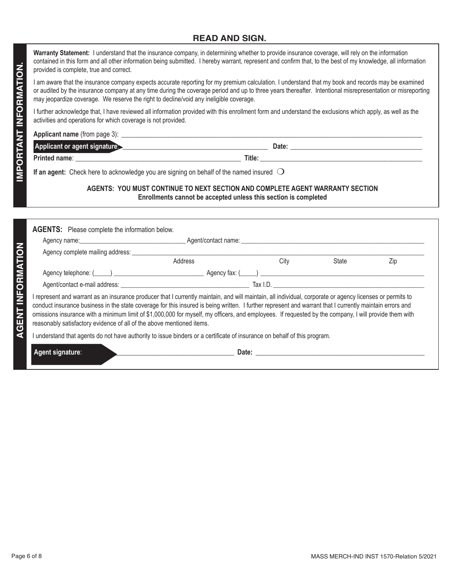### **READ AND SIGN.**

**Warranty Statement:** I understand that the insurance company, in determining whether to provide insurance coverage, will rely on the information contained in this form and all other information being submitted. I hereby warrant, represent and confirm that, to the best of my knowledge, all information provided is complete, true and correct.

| Applicant name (from page 3): |        |  |
|-------------------------------|--------|--|
| Applicant or agent signature. | Date:  |  |
| Printed name:                 | Title: |  |

### **AGENTS: YOU MUST CONTINUE TO NEXT SECTION AND COMPLETE AGENT WARRANTY SECTION Enrollments cannot be accepted unless this section is completed**

| I am aware that the insurance company expects accurate reporting for my premium calculation. I understand that my book and records may be examined                                                                                                   |                                                                                                                                                                                                                                      |      |       |     |
|------------------------------------------------------------------------------------------------------------------------------------------------------------------------------------------------------------------------------------------------------|--------------------------------------------------------------------------------------------------------------------------------------------------------------------------------------------------------------------------------------|------|-------|-----|
| or audited by the insurance company at any time during the coverage period and up to three years thereafter. Intentional misrepresentation or misreporting<br>may jeopardize coverage. We reserve the right to decline/void any ineligible coverage. |                                                                                                                                                                                                                                      |      |       |     |
| I further acknowledge that, I have reviewed all information provided with this enrollment form and understand the exclusions which apply, as well as the<br>activities and operations for which coverage is not provided.                            |                                                                                                                                                                                                                                      |      |       |     |
|                                                                                                                                                                                                                                                      |                                                                                                                                                                                                                                      |      |       |     |
| Applicant or agent signature entertainment and a Date: contract of Date:                                                                                                                                                                             |                                                                                                                                                                                                                                      |      |       |     |
|                                                                                                                                                                                                                                                      |                                                                                                                                                                                                                                      |      |       |     |
| If an agent: Check here to acknowledge you are signing on behalf of the named insured $\bigcirc$                                                                                                                                                     |                                                                                                                                                                                                                                      |      |       |     |
|                                                                                                                                                                                                                                                      | AGENTS: YOU MUST CONTINUE TO NEXT SECTION AND COMPLETE AGENT WARRANTY SECTION<br>Enrollments cannot be accepted unless this section is completed                                                                                     |      |       |     |
| <b>AGENTS:</b> Please complete the information below.                                                                                                                                                                                                |                                                                                                                                                                                                                                      |      |       |     |
| Agency name: <u>Communication and Agent</u> Contact name: <u>Communication and Contact name</u> and Contact name in the series of the series of the series of the series of the series of the series of the series of the series of the              |                                                                                                                                                                                                                                      |      |       |     |
|                                                                                                                                                                                                                                                      | Address                                                                                                                                                                                                                              | City | State | Zip |
|                                                                                                                                                                                                                                                      |                                                                                                                                                                                                                                      |      |       |     |
|                                                                                                                                                                                                                                                      |                                                                                                                                                                                                                                      |      |       |     |
| reasonably satisfactory evidence of all of the above mentioned items.<br>I understand that agents do not have authority to issue binders or a certificate of insurance on behalf of this program.                                                    |                                                                                                                                                                                                                                      |      |       |     |
|                                                                                                                                                                                                                                                      |                                                                                                                                                                                                                                      |      |       |     |
| Agent signature:                                                                                                                                                                                                                                     | Date: <u>Date: Date: Date: Date: Date: Date: Date: Date: Date: Date: Date: Date: Date: Date: Date: Date: Date: Date: Date: Date: Date: Date: Date: Date: Date: Date: Date: Date: Date: Date: Date: Date: Date: Date: Date: Date:</u> |      |       |     |
|                                                                                                                                                                                                                                                      |                                                                                                                                                                                                                                      |      |       |     |
|                                                                                                                                                                                                                                                      |                                                                                                                                                                                                                                      |      |       |     |
|                                                                                                                                                                                                                                                      |                                                                                                                                                                                                                                      |      |       |     |
|                                                                                                                                                                                                                                                      |                                                                                                                                                                                                                                      |      |       |     |
|                                                                                                                                                                                                                                                      |                                                                                                                                                                                                                                      |      |       |     |
|                                                                                                                                                                                                                                                      |                                                                                                                                                                                                                                      |      |       |     |
|                                                                                                                                                                                                                                                      |                                                                                                                                                                                                                                      |      |       |     |
|                                                                                                                                                                                                                                                      |                                                                                                                                                                                                                                      |      |       |     |
|                                                                                                                                                                                                                                                      |                                                                                                                                                                                                                                      |      |       |     |
|                                                                                                                                                                                                                                                      |                                                                                                                                                                                                                                      |      |       |     |
|                                                                                                                                                                                                                                                      |                                                                                                                                                                                                                                      |      |       |     |
|                                                                                                                                                                                                                                                      |                                                                                                                                                                                                                                      |      |       |     |
|                                                                                                                                                                                                                                                      |                                                                                                                                                                                                                                      |      |       |     |
|                                                                                                                                                                                                                                                      |                                                                                                                                                                                                                                      |      |       |     |
|                                                                                                                                                                                                                                                      |                                                                                                                                                                                                                                      |      |       |     |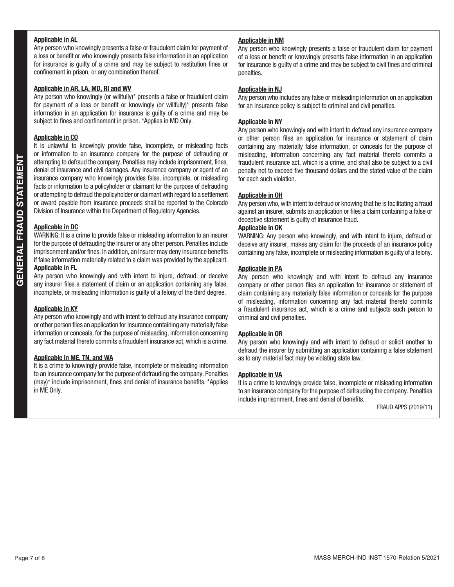### **Applicable in AL**

Any person who knowingly presents a false or fraudulent claim for payment of a loss or benefit or who knowingly presents false information in an application for insurance is guilty of a crime and may be subject to restitution fines or confinement in prison, or any combination thereof.

### **Applicable in AR, LA, MD, RI and WV**

Any person who knowingly (or willfully)\* presents a false or fraudulent claim for payment of a loss or benefit or knowingly (or willfully)\* presents false information in an application for insurance is guilty of a crime and may be subject to fines and confinement in prison. \*Applies in MD Only.

### **Applicable in CO**

It is unlawful to knowingly provide false, incomplete, or misleading facts or information to an insurance company for the purpose of defrauding or attempting to defraud the company. Penalties may include imprisonment, fines, denial of insurance and civil damages. Any insurance company or agent of an insurance company who knowingly provides false, incomplete, or misleading facts or information to a policyholder or claimant for the purpose of defrauding or attempting to defraud the policyholder or claimant with regard to a settlement or award payable from insurance proceeds shall be reported to the Colorado Division of Insurance within the Department of Regulatory Agencies.

### **Applicable in DC**

WARNING: It is a crime to provide false or misleading information to an insurer for the purpose of defrauding the insurer or any other person. Penalties include imprisonment and/or fines. In addition, an insurer may deny insurance benefits if false information materially related to a claim was provided by the applicant. **Applicable in FL**

Any person who knowingly and with intent to injure, defraud, or deceive any insurer files a statement of claim or an application containing any false, incomplete, or misleading information is guilty of a felony of the third degree.

#### **Applicable in KY**

Any person who knowingly and with intent to defraud any insurance company or other person files an application for insurance containing any materially false information or conceals, for the purpose of misleading, information concerning any fact material thereto commits a fraudulent insurance act, which is a crime.

#### **Applicable in ME, TN, and WA**

It is a crime to knowingly provide false, incomplete or misleading information to an insurance company for the purpose of defrauding the company. Penalties (may)\* include imprisonment, fines and denial of insurance benefits. \*Applies in ME Only.

### **Applicable in NM**

Any person who knowingly presents a false or fraudulent claim for payment of a loss or benefit or knowingly presents false information in an application for insurance is guilty of a crime and may be subject to civil fines and criminal penalties.

### **Applicable in NJ**

Any person who includes any false or misleading information on an application for an insurance policy is subject to criminal and civil penalties.

### **Applicable in NY**

Any person who knowingly and with intent to defraud any insurance company or other person files an application for insurance or statement of claim containing any materially false information, or conceals for the purpose of misleading, information concerning any fact material thereto commits a fraudulent insurance act, which is a crime, and shall also be subject to a civil penalty not to exceed five thousand dollars and the stated value of the claim for each such violation.

#### **Applicable in OH**

Any person who, with intent to defraud or knowing that he is facilitating a fraud against an insurer, submits an application or files a claim containing a false or deceptive statement is guilty of insurance fraud.

### **Applicable in OK**

WARNING: Any person who knowingly, and with intent to injure, defraud or deceive any insurer, makes any claim for the proceeds of an insurance policy containing any false, incomplete or misleading information is guilty of a felony.

### **Applicable in PA**

Any person who knowingly and with intent to defraud any insurance company or other person files an application for insurance or statement of claim containing any materially false information or conceals for the purpose of misleading, information concerning any fact material thereto commits a fraudulent insurance act, which is a crime and subjects such person to criminal and civil penalties.

### **Applicable in OR**

Any person who knowingly and with intent to defraud or solicit another to defraud the insurer by submitting an application containing a false statement as to any material fact may be violating state law.

#### **Applicable in VA**

It is a crime to knowingly provide false, incomplete or misleading information to an insurance company for the purpose of defrauding the company. Penalties include imprisonment, fines and denial of benefits.

FRAUD APPS (2019/11)